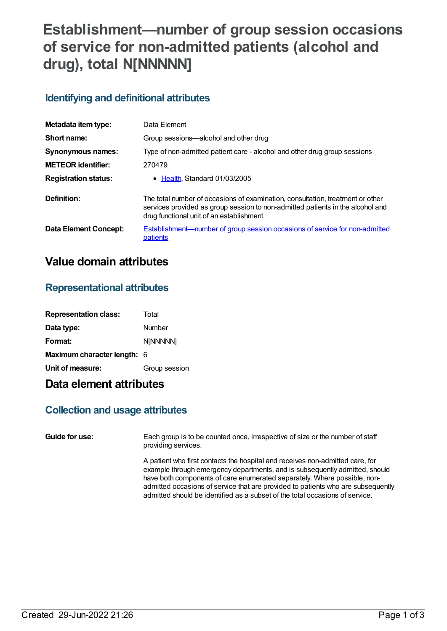# **Establishment—number of group session occasions of service for non-admitted patients (alcohol and drug), total N[NNNNN]**

### **Identifying and definitional attributes**

| Metadata item type:          | Data Element                                                                                                                                                                                                  |
|------------------------------|---------------------------------------------------------------------------------------------------------------------------------------------------------------------------------------------------------------|
| Short name:                  | Group sessions—alcohol and other drug                                                                                                                                                                         |
| Synonymous names:            | Type of non-admitted patient care - alcohol and other drug group sessions                                                                                                                                     |
| <b>METEOR</b> identifier:    | 270479                                                                                                                                                                                                        |
| <b>Registration status:</b>  | • Health, Standard 01/03/2005                                                                                                                                                                                 |
| Definition:                  | The total number of occasions of examination, consultation, treatment or other<br>services provided as group session to non-admitted patients in the alcohol and<br>drug functional unit of an establishment. |
| <b>Data Element Concept:</b> | Establishment-number of group session occasions of service for non-admitted<br>patients                                                                                                                       |

## **Value domain attributes**

#### **Representational attributes**

| <b>Representation class:</b> | Total         |
|------------------------------|---------------|
| Data type:                   | Number        |
| Format:                      | N[NNNNN]      |
| Maximum character length: 6  |               |
| Unit of measure:             | Group session |

## **Data element attributes**

#### **Collection and usage attributes**

**Guide for use:** Each group is to be counted once, irrespective of size or the number of staff providing services.

> A patient who first contacts the hospital and receives non-admitted care, for example through emergency departments, and is subsequently admitted, should have both components of care enumerated separately. Where possible, nonadmitted occasions of service that are provided to patients who are subsequently admitted should be identified as a subset of the total occasions of service.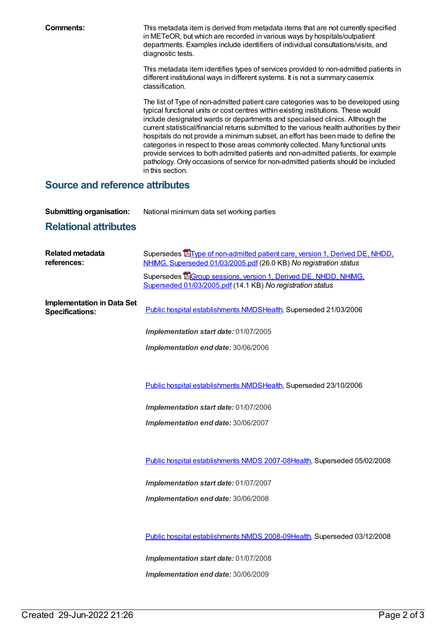**Comments:** This metadata item is derived from metadata items that are not currently specified in METeOR, but which are recorded in various ways by hospitals/outpatient departments. Examples include identifiers of individual consultations/visits, and diagnostic tests.

> This metadata item identifies types of services provided to non-admitted patients in different institutional ways in different systems. It is not a summary casemix classification.

> The list of Type of non-admitted patient care categories was to be developed using typical functional units or cost centres within existing institutions. These would include designated wards or departments and specialised clinics. Although the current statistical/financial returns submitted to the various health authorities by their hospitals do not provide a minimum subset, an effort has been made to define the categories in respect to those areas commonly collected. Many functional units provide services to both admitted patients and non-admitted patients, for example pathology. Only occasions of service for non-admitted patients should be included in this section.

#### **Source and reference attributes**

**Submitting organisation:** National minimum data set working parties

## **Relational attributes**

| Supersedes <b>E</b> Type of non-admitted patient care, version 1, Derived DE, NHDD,<br>NHIMG, Superseded 01/03/2005.pdf (26.0 KB) No registration status |
|----------------------------------------------------------------------------------------------------------------------------------------------------------|
| Supersedes EGroup sessions, version 1, Derived DE, NHDD, NHIMG,<br>Superseded 01/03/2005.pdf (14.1 KB) No registration status                            |
| Public hospital establishments NMDSHealth, Superseded 21/03/2006                                                                                         |
| Implementation start date: 01/07/2005                                                                                                                    |
| Implementation end date: 30/06/2006                                                                                                                      |
|                                                                                                                                                          |
| Public hospital establishments NMDSHealth, Superseded 23/10/2006                                                                                         |
| Implementation start date: 01/07/2006                                                                                                                    |
| Implementation end date: 30/06/2007                                                                                                                      |
|                                                                                                                                                          |
| Public hospital establishments NMDS 2007-08Health, Superseded 05/02/2008                                                                                 |
| Implementation start date: 01/07/2007                                                                                                                    |
| Implementation end date: 30/06/2008                                                                                                                      |
|                                                                                                                                                          |
| Public hospital establishments NMDS 2008-09Health, Superseded 03/12/2008                                                                                 |
| Implementation start date: 01/07/2008                                                                                                                    |
| Implementation end date: 30/06/2009                                                                                                                      |
|                                                                                                                                                          |